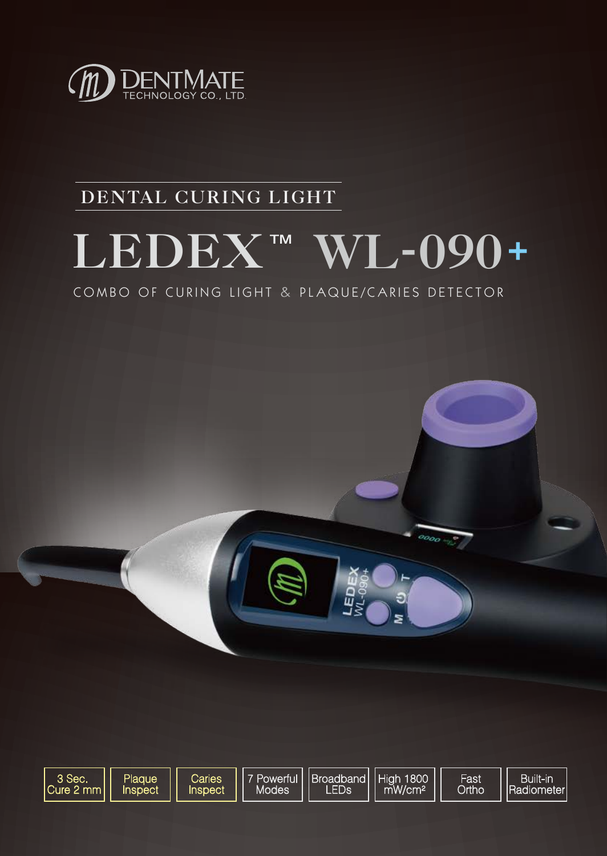

## **DENTAL CURING LIGHT**

# **LEDEX WL-090**

COMBO OF CURING LIGHT & PLAQUE/CARIES DETECTOR



品

 $\overline{\rho_{OOO}}$